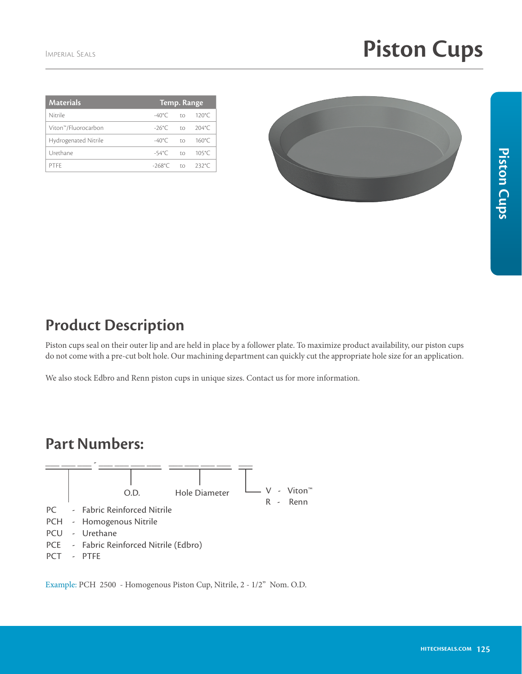| <b>Materials</b>     | Temp. Range         |                                         |                 |
|----------------------|---------------------|-----------------------------------------|-----------------|
| Nitrile              | $-40^{\circ}$ C     | $\Gamma$ <sup><math>\Omega</math></sup> | $120^{\circ}$ C |
| Viton™/Fluorocarbon  | $-26^{\circ}$ C to  |                                         | $204^{\circ}$ C |
| Hydrogenated Nitrile | $-40^{\circ}$ C     | $\Gamma$ <sup><math>\Omega</math></sup> | $160^{\circ}$ C |
| Urethane             | $-54^{\circ}$ C to  |                                         | $105^{\circ}$ C |
| PTFF                 | $-268^{\circ}$ C to |                                         | $232^{\circ}$ C |
|                      |                     |                                         |                 |



## Piston Cups **Piston Cups**

## **Product Description**

Piston cups seal on their outer lip and are held in place by a follower plate. To maximize product availability, our piston cups do not come with a pre-cut bolt hole. Our machining department can quickly cut the appropriate hole size for an application.

We also stock Edbro and Renn piston cups in unique sizes. Contact us for more information.

## **Part Numbers:**



Example: PCH 2500 - Homogenous Piston Cup, Nitrile, 2 - 1/2" Nom. O.D.